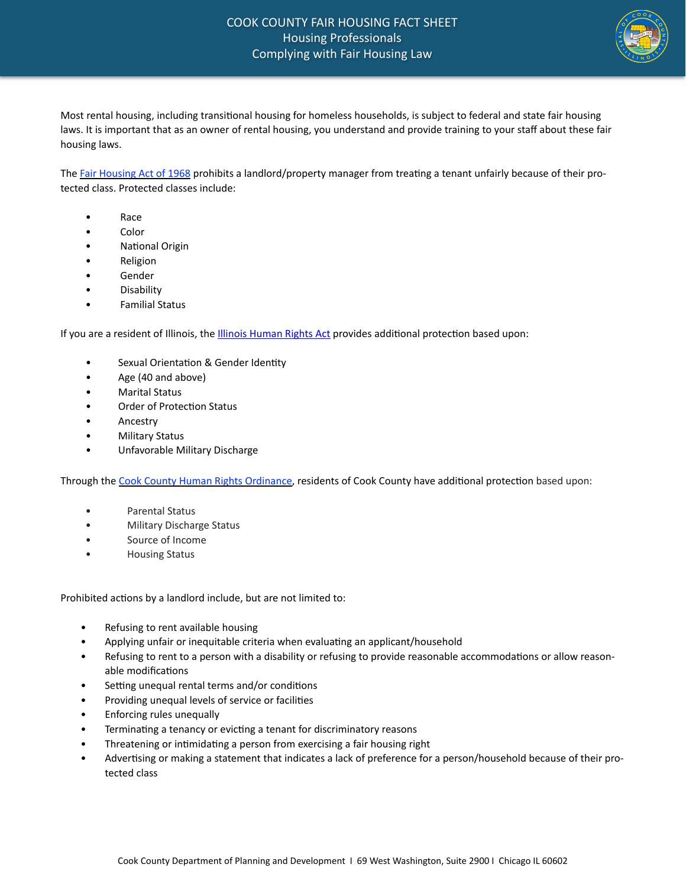

Most rental housing, including transitional housing for homeless households, is subject to federal and state fair housing laws. It is important that as an owner of rental housing, you understand and provide training to your staff about these fair housing laws.

The Fair Housing Act of 1968 prohibits a landlord/property manager from treating a tenant unfairly because of their protected class. Protected classes include:

- Race
- Color
- National Origin
- **Religion**
- **Gender**
- Disability
- **Familial Status**

If you are a resident of Illinois, the *Illinois* Human Rights Act provides additional protection based upon:

- Sexual Orientation & Gender Identity
- Age (40 and above)
- Marital Status
- Order of Protection Status
- Ancestry
- Military Status
- Unfavorable Military Discharge

Through the Cook County Human Rights Ordinance, residents of Cook County have additional protection based upon:

- Parental Status
- Military Discharge Status
- Source of Income
- Housing Status

Prohibited actions by a landlord include, but are not limited to:

- Refusing to rent available housing
- Applying unfair or inequitable criteria when evaluating an applicant/household
- Refusing to rent to a person with a disability or refusing to provide reasonable accommodations or allow reasonable modifications
- Setting unequal rental terms and/or conditions
- Providing unequal levels of service or facilities
- Enforcing rules unequally
- Terminating a tenancy or evicting a tenant for discriminatory reasons
- Threatening or intimidating a person from exercising a fair housing right
- Advertising or making a statement that indicates a lack of preference for a person/household because of their protected class